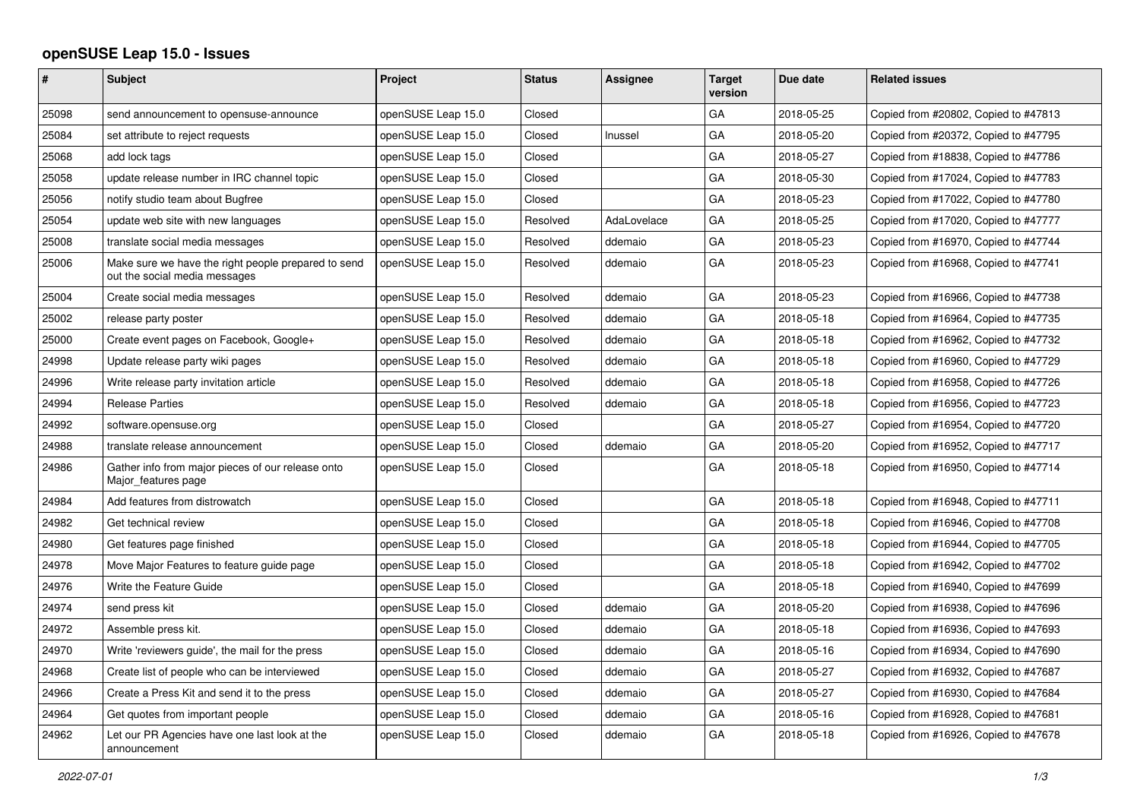## **openSUSE Leap 15.0 - Issues**

| #     | <b>Subject</b>                                                                       | <b>Project</b>     | <b>Status</b> | <b>Assignee</b> | <b>Target</b><br>version | Due date   | <b>Related issues</b>                |
|-------|--------------------------------------------------------------------------------------|--------------------|---------------|-----------------|--------------------------|------------|--------------------------------------|
| 25098 | send announcement to opensuse-announce                                               | openSUSE Leap 15.0 | Closed        |                 | GA                       | 2018-05-25 | Copied from #20802, Copied to #47813 |
| 25084 | set attribute to reject requests                                                     | openSUSE Leap 15.0 | Closed        | Inussel         | GA                       | 2018-05-20 | Copied from #20372, Copied to #47795 |
| 25068 | add lock tags                                                                        | openSUSE Leap 15.0 | Closed        |                 | GA                       | 2018-05-27 | Copied from #18838, Copied to #47786 |
| 25058 | update release number in IRC channel topic                                           | openSUSE Leap 15.0 | Closed        |                 | GA                       | 2018-05-30 | Copied from #17024, Copied to #47783 |
| 25056 | notify studio team about Bugfree                                                     | openSUSE Leap 15.0 | Closed        |                 | GA                       | 2018-05-23 | Copied from #17022, Copied to #47780 |
| 25054 | update web site with new languages                                                   | openSUSE Leap 15.0 | Resolved      | AdaLovelace     | GA                       | 2018-05-25 | Copied from #17020, Copied to #47777 |
| 25008 | translate social media messages                                                      | openSUSE Leap 15.0 | Resolved      | ddemaio         | GA                       | 2018-05-23 | Copied from #16970, Copied to #47744 |
| 25006 | Make sure we have the right people prepared to send<br>out the social media messages | openSUSE Leap 15.0 | Resolved      | ddemaio         | GA                       | 2018-05-23 | Copied from #16968, Copied to #47741 |
| 25004 | Create social media messages                                                         | openSUSE Leap 15.0 | Resolved      | ddemaio         | GA                       | 2018-05-23 | Copied from #16966, Copied to #47738 |
| 25002 | release party poster                                                                 | openSUSE Leap 15.0 | Resolved      | ddemaio         | GA                       | 2018-05-18 | Copied from #16964, Copied to #47735 |
| 25000 | Create event pages on Facebook, Google+                                              | openSUSE Leap 15.0 | Resolved      | ddemaio         | GA                       | 2018-05-18 | Copied from #16962, Copied to #47732 |
| 24998 | Update release party wiki pages                                                      | openSUSE Leap 15.0 | Resolved      | ddemaio         | GA                       | 2018-05-18 | Copied from #16960, Copied to #47729 |
| 24996 | Write release party invitation article                                               | openSUSE Leap 15.0 | Resolved      | ddemaio         | GA                       | 2018-05-18 | Copied from #16958, Copied to #47726 |
| 24994 | Release Parties                                                                      | openSUSE Leap 15.0 | Resolved      | ddemaio         | GA                       | 2018-05-18 | Copied from #16956, Copied to #47723 |
| 24992 | software.opensuse.org                                                                | openSUSE Leap 15.0 | Closed        |                 | GA                       | 2018-05-27 | Copied from #16954, Copied to #47720 |
| 24988 | translate release announcement                                                       | openSUSE Leap 15.0 | Closed        | ddemaio         | GA                       | 2018-05-20 | Copied from #16952, Copied to #47717 |
| 24986 | Gather info from major pieces of our release onto<br>Major features page             | openSUSE Leap 15.0 | Closed        |                 | GA                       | 2018-05-18 | Copied from #16950, Copied to #47714 |
| 24984 | Add features from distrowatch                                                        | openSUSE Leap 15.0 | Closed        |                 | GA                       | 2018-05-18 | Copied from #16948, Copied to #47711 |
| 24982 | Get technical review                                                                 | openSUSE Leap 15.0 | Closed        |                 | GA                       | 2018-05-18 | Copied from #16946, Copied to #47708 |
| 24980 | Get features page finished                                                           | openSUSE Leap 15.0 | Closed        |                 | GA                       | 2018-05-18 | Copied from #16944, Copied to #47705 |
| 24978 | Move Major Features to feature guide page                                            | openSUSE Leap 15.0 | Closed        |                 | GA                       | 2018-05-18 | Copied from #16942, Copied to #47702 |
| 24976 | Write the Feature Guide                                                              | openSUSE Leap 15.0 | Closed        |                 | GA                       | 2018-05-18 | Copied from #16940, Copied to #47699 |
| 24974 | send press kit                                                                       | openSUSE Leap 15.0 | Closed        | ddemaio         | GA                       | 2018-05-20 | Copied from #16938, Copied to #47696 |
| 24972 | Assemble press kit.                                                                  | openSUSE Leap 15.0 | Closed        | ddemaio         | GA                       | 2018-05-18 | Copied from #16936, Copied to #47693 |
| 24970 | Write 'reviewers guide', the mail for the press                                      | openSUSE Leap 15.0 | Closed        | ddemaio         | GA                       | 2018-05-16 | Copied from #16934, Copied to #47690 |
| 24968 | Create list of people who can be interviewed                                         | openSUSE Leap 15.0 | Closed        | ddemaio         | GA                       | 2018-05-27 | Copied from #16932, Copied to #47687 |
| 24966 | Create a Press Kit and send it to the press                                          | openSUSE Leap 15.0 | Closed        | ddemaio         | GA                       | 2018-05-27 | Copied from #16930, Copied to #47684 |
| 24964 | Get quotes from important people                                                     | openSUSE Leap 15.0 | Closed        | ddemaio         | GA                       | 2018-05-16 | Copied from #16928, Copied to #47681 |
| 24962 | Let our PR Agencies have one last look at the<br>announcement                        | openSUSE Leap 15.0 | Closed        | ddemaio         | GA                       | 2018-05-18 | Copied from #16926, Copied to #47678 |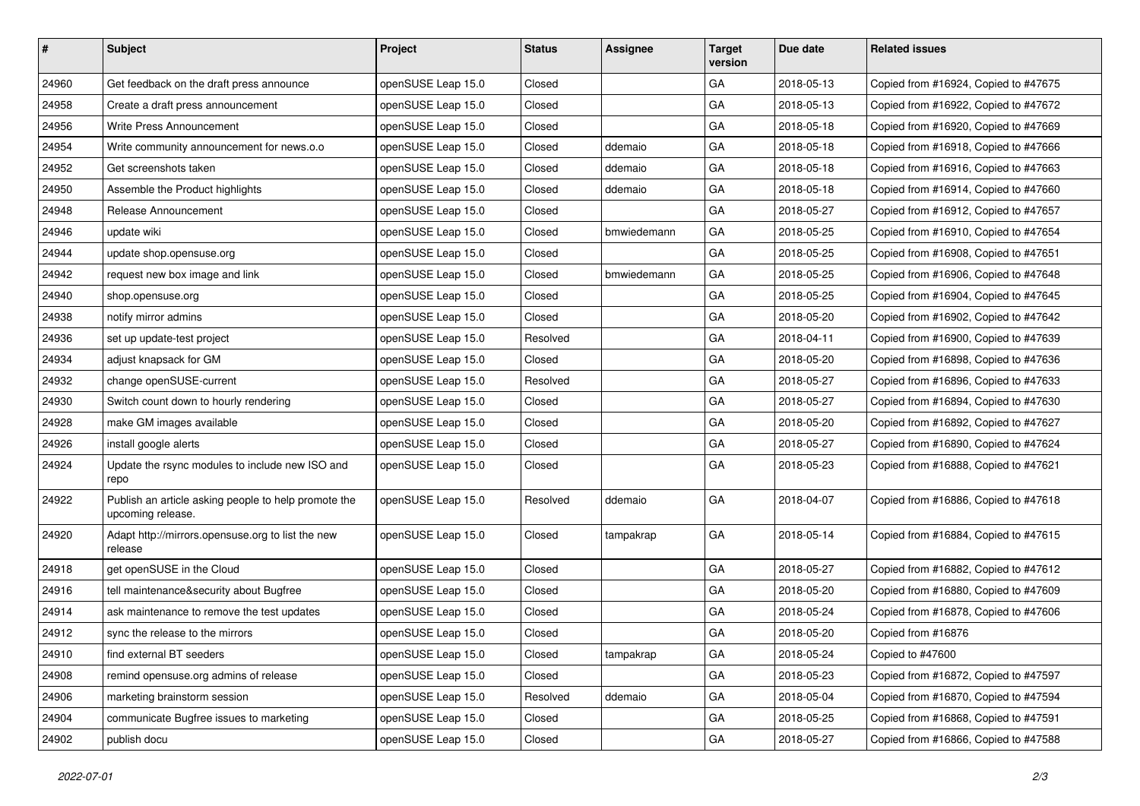| #     | Subject                                                                   | Project            | <b>Status</b> | <b>Assignee</b> | <b>Target</b><br>version | Due date   | <b>Related issues</b>                |
|-------|---------------------------------------------------------------------------|--------------------|---------------|-----------------|--------------------------|------------|--------------------------------------|
| 24960 | Get feedback on the draft press announce                                  | openSUSE Leap 15.0 | Closed        |                 | GA                       | 2018-05-13 | Copied from #16924, Copied to #47675 |
| 24958 | Create a draft press announcement                                         | openSUSE Leap 15.0 | Closed        |                 | GA                       | 2018-05-13 | Copied from #16922, Copied to #47672 |
| 24956 | Write Press Announcement                                                  | openSUSE Leap 15.0 | Closed        |                 | GA                       | 2018-05-18 | Copied from #16920, Copied to #47669 |
| 24954 | Write community announcement for news.o.o                                 | openSUSE Leap 15.0 | Closed        | ddemaio         | GA                       | 2018-05-18 | Copied from #16918, Copied to #47666 |
| 24952 | Get screenshots taken                                                     | openSUSE Leap 15.0 | Closed        | ddemaio         | GA                       | 2018-05-18 | Copied from #16916, Copied to #47663 |
| 24950 | Assemble the Product highlights                                           | openSUSE Leap 15.0 | Closed        | ddemaio         | GA                       | 2018-05-18 | Copied from #16914, Copied to #47660 |
| 24948 | Release Announcement                                                      | openSUSE Leap 15.0 | Closed        |                 | GA                       | 2018-05-27 | Copied from #16912, Copied to #47657 |
| 24946 | update wiki                                                               | openSUSE Leap 15.0 | Closed        | bmwiedemann     | GA                       | 2018-05-25 | Copied from #16910, Copied to #47654 |
| 24944 | update shop.opensuse.org                                                  | openSUSE Leap 15.0 | Closed        |                 | GA                       | 2018-05-25 | Copied from #16908, Copied to #47651 |
| 24942 | request new box image and link                                            | openSUSE Leap 15.0 | Closed        | bmwiedemann     | GA                       | 2018-05-25 | Copied from #16906, Copied to #47648 |
| 24940 | shop.opensuse.org                                                         | openSUSE Leap 15.0 | Closed        |                 | GA                       | 2018-05-25 | Copied from #16904, Copied to #47645 |
| 24938 | notify mirror admins                                                      | openSUSE Leap 15.0 | Closed        |                 | GA                       | 2018-05-20 | Copied from #16902, Copied to #47642 |
| 24936 | set up update-test project                                                | openSUSE Leap 15.0 | Resolved      |                 | GA                       | 2018-04-11 | Copied from #16900, Copied to #47639 |
| 24934 | adjust knapsack for GM                                                    | openSUSE Leap 15.0 | Closed        |                 | GA                       | 2018-05-20 | Copied from #16898, Copied to #47636 |
| 24932 | change openSUSE-current                                                   | openSUSE Leap 15.0 | Resolved      |                 | GA                       | 2018-05-27 | Copied from #16896, Copied to #47633 |
| 24930 | Switch count down to hourly rendering                                     | openSUSE Leap 15.0 | Closed        |                 | GA                       | 2018-05-27 | Copied from #16894, Copied to #47630 |
| 24928 | make GM images available                                                  | openSUSE Leap 15.0 | Closed        |                 | GA                       | 2018-05-20 | Copied from #16892, Copied to #47627 |
| 24926 | install google alerts                                                     | openSUSE Leap 15.0 | Closed        |                 | GA                       | 2018-05-27 | Copied from #16890, Copied to #47624 |
| 24924 | Update the rsync modules to include new ISO and<br>repo                   | openSUSE Leap 15.0 | Closed        |                 | GA                       | 2018-05-23 | Copied from #16888, Copied to #47621 |
| 24922 | Publish an article asking people to help promote the<br>upcoming release. | openSUSE Leap 15.0 | Resolved      | ddemaio         | GA                       | 2018-04-07 | Copied from #16886, Copied to #47618 |
| 24920 | Adapt http://mirrors.opensuse.org to list the new<br>release              | openSUSE Leap 15.0 | Closed        | tampakrap       | GA                       | 2018-05-14 | Copied from #16884, Copied to #47615 |
| 24918 | get openSUSE in the Cloud                                                 | openSUSE Leap 15.0 | Closed        |                 | GA                       | 2018-05-27 | Copied from #16882, Copied to #47612 |
| 24916 | tell maintenance&security about Bugfree                                   | openSUSE Leap 15.0 | Closed        |                 | GA                       | 2018-05-20 | Copied from #16880, Copied to #47609 |
| 24914 | ask maintenance to remove the test updates                                | openSUSE Leap 15.0 | Closed        |                 | GA                       | 2018-05-24 | Copied from #16878, Copied to #47606 |
| 24912 | sync the release to the mirrors                                           | openSUSE Leap 15.0 | Closed        |                 | GA                       | 2018-05-20 | Copied from #16876                   |
| 24910 | find external BT seeders                                                  | openSUSE Leap 15.0 | Closed        | tampakrap       | GA                       | 2018-05-24 | Copied to #47600                     |
| 24908 | remind opensuse.org admins of release                                     | openSUSE Leap 15.0 | Closed        |                 | GA                       | 2018-05-23 | Copied from #16872, Copied to #47597 |
| 24906 | marketing brainstorm session                                              | openSUSE Leap 15.0 | Resolved      | ddemaio         | GA                       | 2018-05-04 | Copied from #16870, Copied to #47594 |
| 24904 | communicate Bugfree issues to marketing                                   | openSUSE Leap 15.0 | Closed        |                 | GA                       | 2018-05-25 | Copied from #16868, Copied to #47591 |
| 24902 | publish docu                                                              | openSUSE Leap 15.0 | Closed        |                 | GA                       | 2018-05-27 | Copied from #16866, Copied to #47588 |